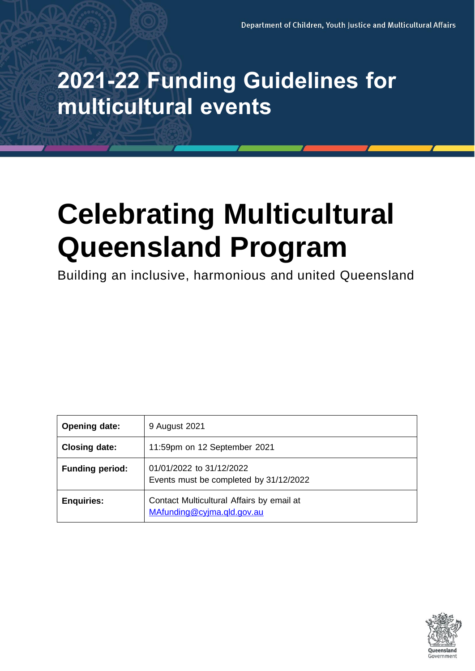## **2021-22 Funding Guidelines for multicultural events**

# **Celebrating Multicultural Queensland Program**

Building an inclusive, harmonious and united Queensland

| <b>Opening date:</b>                                                                         | 9 August 2021                                                           |  |
|----------------------------------------------------------------------------------------------|-------------------------------------------------------------------------|--|
| <b>Closing date:</b><br>11:59pm on 12 September 2021                                         |                                                                         |  |
| 01/01/2022 to 31/12/2022<br><b>Funding period:</b><br>Events must be completed by 31/12/2022 |                                                                         |  |
| <b>Enquiries:</b>                                                                            | Contact Multicultural Affairs by email at<br>MAfunding@cyjma.qld.gov.au |  |

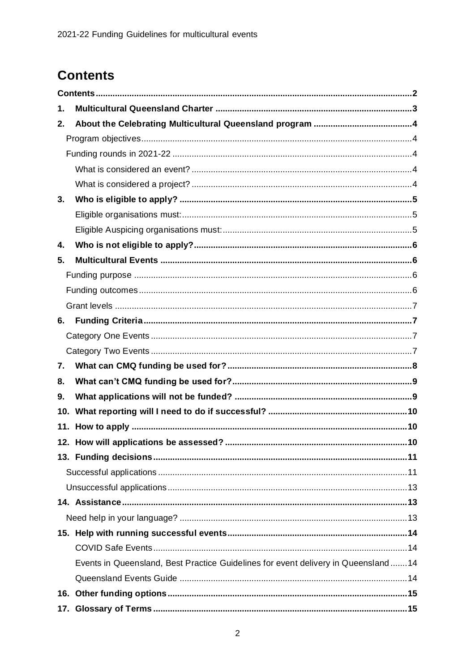### <span id="page-1-0"></span>**Contents**

| 1.  |                                                                                     |     |
|-----|-------------------------------------------------------------------------------------|-----|
| 2.  |                                                                                     |     |
|     |                                                                                     |     |
|     |                                                                                     |     |
|     |                                                                                     |     |
|     |                                                                                     |     |
| 3.  |                                                                                     |     |
|     |                                                                                     |     |
|     |                                                                                     |     |
| 4.  |                                                                                     |     |
| 5.  |                                                                                     |     |
|     |                                                                                     |     |
|     |                                                                                     |     |
|     |                                                                                     |     |
| 6.  |                                                                                     |     |
|     |                                                                                     |     |
|     |                                                                                     |     |
| 7.  |                                                                                     |     |
| 8.  |                                                                                     |     |
| 9.  |                                                                                     |     |
| 10. |                                                                                     |     |
|     |                                                                                     |     |
|     | 12. How will applications be assessed?.                                             | .10 |
|     |                                                                                     |     |
|     |                                                                                     |     |
|     |                                                                                     |     |
|     |                                                                                     |     |
|     |                                                                                     |     |
|     |                                                                                     |     |
|     |                                                                                     |     |
|     | Events in Queensland, Best Practice Guidelines for event delivery in Queensland  14 |     |
|     |                                                                                     |     |
|     |                                                                                     |     |
|     |                                                                                     |     |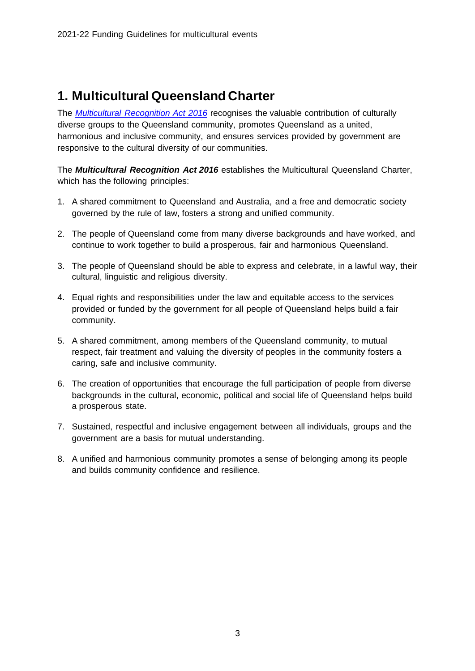### <span id="page-2-0"></span>**1. Multicultural Queensland Charter**

The *[Multicultural Recognition Act](https://www.cyjma.qld.gov.au/multicultural-affairs/policy-governance/multicultural-recognition-act-2016) 2016* recognises the valuable contribution of culturally diverse groups to the Queensland community, promotes Queensland as a united, harmonious and inclusive community, and ensures services provided by government are responsive to the cultural diversity of our communities.

The *Multicultural Recognition Act 2016* establishes the Multicultural Queensland Charter, which has the following principles:

- 1. A shared commitment to Queensland and Australia, and a free and democratic society governed by the rule of law, fosters a strong and unified community.
- 2. The people of Queensland come from many diverse backgrounds and have worked, and continue to work together to build a prosperous, fair and harmonious Queensland.
- 3. The people of Queensland should be able to express and celebrate, in a lawful way, their cultural, linguistic and religious diversity.
- 4. Equal rights and responsibilities under the law and equitable access to the services provided or funded by the government for all people of Queensland helps build a fair community.
- 5. A shared commitment, among members of the Queensland community, to mutual respect, fair treatment and valuing the diversity of peoples in the community fosters a caring, safe and inclusive community.
- 6. The creation of opportunities that encourage the full participation of people from diverse backgrounds in the cultural, economic, political and social life of Queensland helps build a prosperous state.
- 7. Sustained, respectful and inclusive engagement between all individuals, groups and the government are a basis for mutual understanding.
- 8. A unified and harmonious community promotes a sense of belonging among its people and builds community confidence and resilience.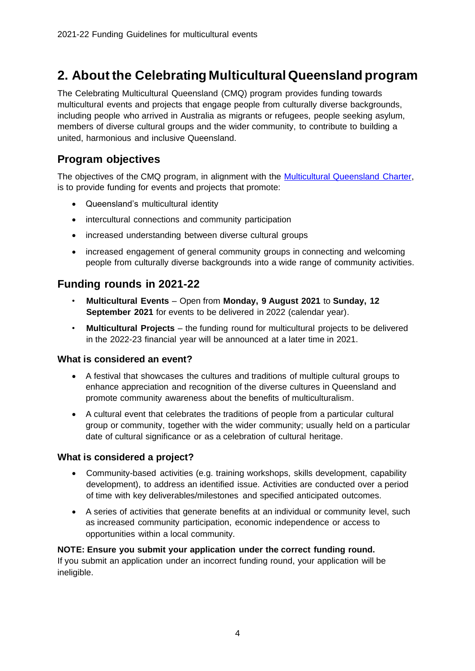### <span id="page-3-0"></span>**2. About the Celebrating Multicultural Queensland program**

The Celebrating Multicultural Queensland (CMQ) program provides funding towards multicultural events and projects that engage people from culturally diverse backgrounds, including people who arrived in Australia as migrants or refugees, people seeking asylum, members of diverse cultural groups and the wider community, to contribute to building a united, harmonious and inclusive Queensland.

#### <span id="page-3-1"></span>**Program objectives**

The objectives of the CMQ program, in alignment with the Multicultural Queensland Charter, is to provide funding for events and projects that promote:

- Queensland's multicultural identity
- intercultural connections and community participation
- increased understanding between diverse cultural groups
- increased engagement of general community groups in connecting and welcoming people from culturally diverse backgrounds into a wide range of community activities.

#### <span id="page-3-2"></span>**Funding rounds in 2021-22**

- **Multicultural Events** Open from **Monday, 9 August 2021** to **Sunday, 12 September 2021** for events to be delivered in 2022 (calendar year).
- **Multicultural Projects** the funding round for multicultural projects to be delivered in the 2022-23 financial year will be announced at a later time in 2021.

#### <span id="page-3-3"></span>**What is considered an event?**

- A festival that showcases the cultures and traditions of multiple cultural groups to enhance appreciation and recognition of the diverse cultures in Queensland and promote community awareness about the benefits of multiculturalism.
- A cultural event that celebrates the traditions of people from a particular cultural group or community, together with the wider community; usually held on a particular date of cultural significance or as a celebration of cultural heritage.

#### <span id="page-3-4"></span>**What is considered a project?**

- Community-based activities (e.g. training workshops, skills development, capability development), to address an identified issue. Activities are conducted over a period of time with key deliverables/milestones and specified anticipated outcomes.
- A series of activities that generate benefits at an individual or community level, such as increased community participation, economic independence or access to opportunities within a local community.

#### **NOTE: Ensure you submit your application under the correct funding round.**

If you submit an application under an incorrect funding round, your application will be ineligible.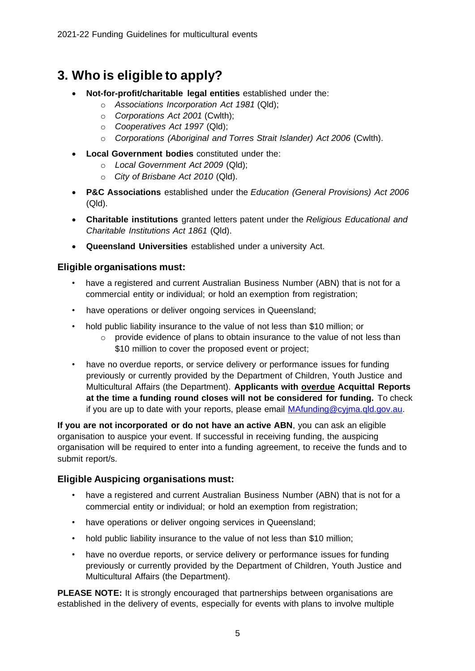### <span id="page-4-0"></span>**3. Who is eligible to apply?**

- **Not-for-profit/charitable legal entities** established under the:
	- o *Associations Incorporation Act 1981* (Qld);
	- o *Corporations Act 2001* (Cwlth);
	- o *Cooperatives Act 1997* (Qld);
	- o *Corporations (Aboriginal and Torres Strait Islander) Act 2006* (Cwlth).
- **Local Government bodies** constituted under the:
	- o *Local Government Act 2009* (Qld);
	- o *City of Brisbane Act 2010* (Qld).
- **P&C Associations** established under the *Education (General Provisions) Act 2006*  (Qld).
- **Charitable institutions** granted letters patent under the *Religious Educational and Charitable Institutions Act 1861* (Qld).
- **Queensland Universities** established under a university Act.

#### <span id="page-4-1"></span>**Eligible organisations must:**

- have a registered and current Australian Business Number (ABN) that is not for a commercial entity or individual; or hold an exemption from registration;
- have operations or deliver ongoing services in Queensland;
- hold public liability insurance to the value of not less than \$10 million; or
	- $\circ$  provide evidence of plans to obtain insurance to the value of not less than \$10 million to cover the proposed event or project;
- have no overdue reports, or service delivery or performance issues for funding previously or currently provided by the Department of Children, Youth Justice and Multicultural Affairs (the Department). **Applicants with overdue Acquittal Reports at the time a funding round closes will not be considered for funding.** To check if you are up to date with your reports, please email [MAfunding@cyjma.qld.gov.au.](mailto:MAfunding@cyjma.qld.gov.au)

**If you are not incorporated or do not have an active ABN**, you can ask an eligible organisation to auspice your event. If successful in receiving funding, the auspicing organisation will be required to enter into a funding agreement, to receive the funds and to submit report/s.

#### <span id="page-4-2"></span>**Eligible Auspicing organisations must:**

- have a registered and current Australian Business Number (ABN) that is not for a commercial entity or individual; or hold an exemption from registration;
- have operations or deliver ongoing services in Queensland;
- hold public liability insurance to the value of not less than \$10 million;
- have no overdue reports, or service delivery or performance issues for funding previously or currently provided by the Department of Children, Youth Justice and Multicultural Affairs (the Department).

**PLEASE NOTE:** It is strongly encouraged that partnerships between organisations are established in the delivery of events, especially for events with plans to involve multiple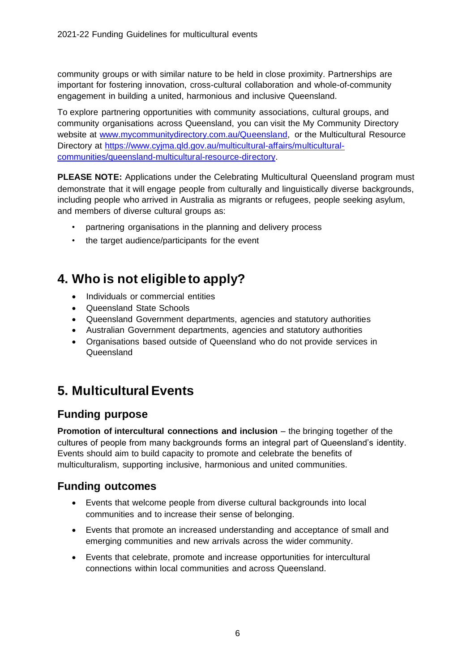community groups or with similar nature to be held in close proximity. Partnerships are important for fostering innovation, cross-cultural collaboration and whole-of-community engagement in building a united, harmonious and inclusive Queensland.

To explore partnering opportunities with community associations, cultural groups, and community organisations across Queensland, you can visit the My Community Directory website at [www.mycommunitydirectory.com.au/Queensland,](http://www.mycommunitydirectory.com.au/Queensland) or the Multicultural Resource Directory at [https://www.cyjma.qld.gov.au/multicultural-affairs/multicultural](https://www.cyjma.qld.gov.au/multicultural-affairs/multicultural-communities/queensland-multicultural-resource-directory)[communities/queensland-multicultural-resource-directory.](https://www.cyjma.qld.gov.au/multicultural-affairs/multicultural-communities/queensland-multicultural-resource-directory) 

**PLEASE NOTE:** Applications under the Celebrating Multicultural Queensland program must demonstrate that it will engage people from culturally and linguistically diverse backgrounds, including people who arrived in Australia as migrants or refugees, people seeking asylum, and members of diverse cultural groups as:

- partnering organisations in the planning and delivery process
- the target audience/participants for the event

### <span id="page-5-0"></span>**4. Who is not eligible to apply?**

- Individuals or commercial entities
- Queensland State Schools
- Queensland Government departments, agencies and statutory authorities
- Australian Government departments, agencies and statutory authorities
- Organisations based outside of Queensland who do not provide services in Queensland

### <span id="page-5-1"></span>**5. Multicultural Events**

#### <span id="page-5-2"></span>**Funding purpose**

**Promotion of intercultural connections and inclusion** – the bringing together of the cultures of people from many backgrounds forms an integral part of Queensland's identity. Events should aim to build capacity to promote and celebrate the benefits of multiculturalism, supporting inclusive, harmonious and united communities.

#### <span id="page-5-3"></span>**Funding outcomes**

- Events that welcome people from diverse cultural backgrounds into local communities and to increase their sense of belonging.
- Events that promote an increased understanding and acceptance of small and emerging communities and new arrivals across the wider community.
- Events that celebrate, promote and increase opportunities for intercultural connections within local communities and across Queensland.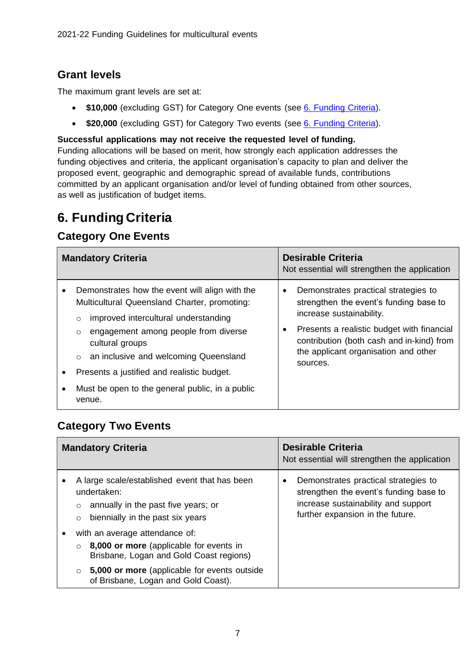#### <span id="page-6-0"></span>**Grant levels**

The maximum grant levels are set at:

- **\$10,000** (excluding GST) for Category One events (see [6. Funding Criteria\)](#page-6-1).
- **\$20,000** (excluding GST) for Category Two events (see [6. Funding Criteria\)](#page-6-1).

**Successful applications may not receive the requested level of funding.**

Funding allocations will be based on merit, how strongly each application addresses the funding objectives and criteria, the applicant organisation's capacity to plan and deliver the proposed event, geographic and demographic spread of available funds, contributions committed by an applicant organisation and/or level of funding obtained from other sources, as well as justification of budget items.

### <span id="page-6-1"></span>**6. Funding Criteria**

#### <span id="page-6-2"></span>**Category One Events**

| <b>Mandatory Criteria</b>              |                                                                                                                                                                                                                                                                                                                                                                             | <b>Desirable Criteria</b><br>Not essential will strengthen the application                                                                                                                                                                                |
|----------------------------------------|-----------------------------------------------------------------------------------------------------------------------------------------------------------------------------------------------------------------------------------------------------------------------------------------------------------------------------------------------------------------------------|-----------------------------------------------------------------------------------------------------------------------------------------------------------------------------------------------------------------------------------------------------------|
| ٠<br>$\circ$<br>$\bullet$<br>$\bullet$ | Demonstrates how the event will align with the<br>Multicultural Queensland Charter, promoting:<br>improved intercultural understanding<br>engagement among people from diverse<br>$\circ$<br>cultural groups<br>an inclusive and welcoming Queensland<br>$\circ$<br>Presents a justified and realistic budget.<br>Must be open to the general public, in a public<br>venue. | Demonstrates practical strategies to<br>strengthen the event's funding base to<br>increase sustainability.<br>Presents a realistic budget with financial<br>contribution (both cash and in-kind) from<br>the applicant organisation and other<br>sources. |

### <span id="page-6-3"></span>**Category Two Events**

| <b>Mandatory Criteria</b>                                                                                                                                                                                                                | <b>Desirable Criteria</b><br>Not essential will strengthen the application                                                                                     |
|------------------------------------------------------------------------------------------------------------------------------------------------------------------------------------------------------------------------------------------|----------------------------------------------------------------------------------------------------------------------------------------------------------------|
| A large scale/established event that has been<br>undertaken:<br>annually in the past five years; or<br>$\circ$<br>biennially in the past six years<br>$\circ$                                                                            | Demonstrates practical strategies to<br>٠<br>strengthen the event's funding base to<br>increase sustainability and support<br>further expansion in the future. |
| with an average attendance of:<br>٠<br>8,000 or more (applicable for events in<br>$\Omega$<br>Brisbane, Logan and Gold Coast regions)<br>5,000 or more (applicable for events outside<br>$\Omega$<br>of Brisbane, Logan and Gold Coast). |                                                                                                                                                                |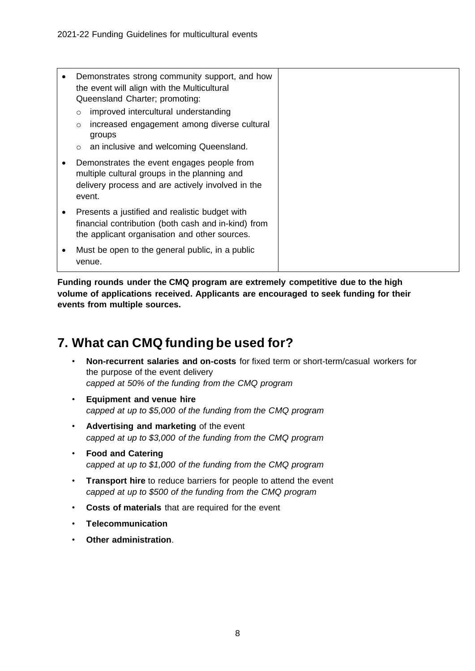| ٠ | Demonstrates strong community support, and how<br>the event will align with the Multicultural<br>Queensland Charter; promoting:                                          |  |
|---|--------------------------------------------------------------------------------------------------------------------------------------------------------------------------|--|
|   | improved intercultural understanding<br>$\circ$<br>increased engagement among diverse cultural<br>$\circ$<br>groups<br>an inclusive and welcoming Queensland.<br>$\circ$ |  |
|   | Demonstrates the event engages people from<br>multiple cultural groups in the planning and<br>delivery process and are actively involved in the<br>event.                |  |
| ٠ | Presents a justified and realistic budget with<br>financial contribution (both cash and in-kind) from<br>the applicant organisation and other sources.                   |  |
|   | Must be open to the general public, in a public<br>venue.                                                                                                                |  |

**Funding rounds under the CMQ program are extremely competitive due to the high volume of applications received. Applicants are encouraged to seek funding for their events from multiple sources.** 

### <span id="page-7-0"></span>**7. What can CMQ funding be used for?**

- **Non-recurrent salaries and on-costs** for fixed term or short-term/casual workers for the purpose of the event delivery *capped at 50% of the funding from the CMQ program*
- **Equipment and venue hire** *capped at up to \$5,000 of the funding from the CMQ program*
- **Advertising and marketing** of the event *capped at up to \$3,000 of the funding from the CMQ program*
- **Food and Catering** *capped at up to \$1,000 of the funding from the CMQ program*
- **Transport hire** to reduce barriers for people to attend the event *capped at up to \$500 of the funding from the CMQ program*
- **Costs of materials** that are required for the event
- **Telecommunication**
- **Other administration**.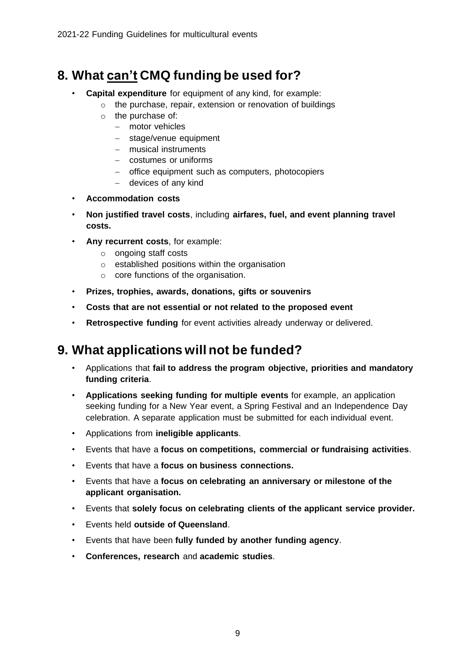### <span id="page-8-0"></span>**8. What can't CMQ funding be used for?**

- **Capital expenditure** for equipment of any kind, for example:
	- o the purchase, repair, extension or renovation of buildings
	- o the purchase of:
		- − motor vehicles
		- − stage/venue equipment
		- − musical instruments
		- − costumes or uniforms
		- − office equipment such as computers, photocopiers
		- − devices of any kind
- **Accommodation costs**
- **Non justified travel costs**, including **airfares, fuel, and event planning travel costs.**
- **Any recurrent costs**, for example:
	- o ongoing staff costs
	- o established positions within the organisation
	- o core functions of the organisation.
- **Prizes, trophies, awards, donations, gifts or souvenirs**
- **Costs that are not essential or not related to the proposed event**
- **Retrospective funding** for event activities already underway or delivered.

### <span id="page-8-1"></span>**9. What applications will not be funded?**

- Applications that **fail to address the program objective, priorities and mandatory funding criteria**.
- **Applications seeking funding for multiple events** for example, an application seeking funding for a New Year event, a Spring Festival and an Independence Day celebration. A separate application must be submitted for each individual event.
- Applications from **ineligible applicants**.
- Events that have a **focus on competitions, commercial or fundraising activities**.
- Events that have a **focus on business connections.**
- Events that have a **focus on celebrating an anniversary or milestone of the applicant organisation.**
- Events that **solely focus on celebrating clients of the applicant service provider.**
- Events held **outside of Queensland**.
- Events that have been **fully funded by another funding agency**.
- **Conferences, research** and **academic studies**.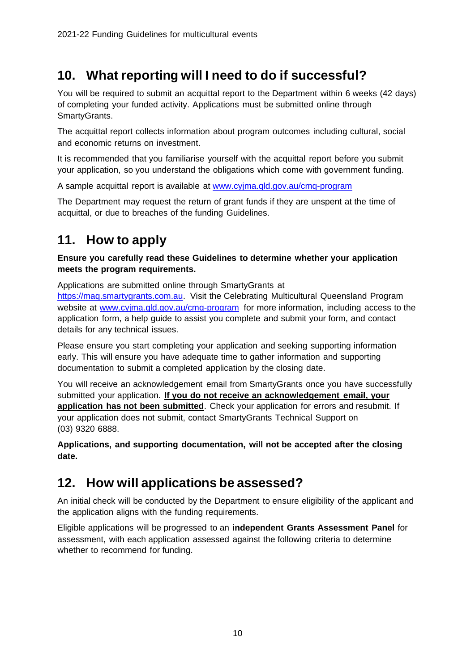### <span id="page-9-0"></span>**10. What reporting will I need to do if successful?**

You will be required to submit an acquittal report to the Department within 6 weeks (42 days) of completing your funded activity. Applications must be submitted online through SmartyGrants.

The acquittal report collects information about program outcomes including cultural, social and economic returns on investment.

It is recommended that you familiarise yourself with the acquittal report before you submit your application, so you understand the obligations which come with government funding.

A sample acquittal report is available at [www.cyjma.qld.gov.au/cmq-program](http://www.cyjma.qld.gov.au/cmq-program)

The Department may request the return of grant funds if they are unspent at the time of acquittal, or due to breaches of the funding Guidelines.

### <span id="page-9-1"></span>**11. How to apply**

**Ensure you carefully read these Guidelines to determine whether your application meets the program requirements.**

Applications are submitted online through SmartyGrants at

[https://maq.smartygrants.com.au.](https://maq.smartygrants.com.au/) Visit the Celebrating Multicultural Queensland Program website at [www.cyjma.qld.gov.au/cmq-program](http://www.cyjma.qld.gov.au/cmq-program) for more information, including access to the application form, a help guide to assist you complete and submit your form, and contact details for any technical issues.

Please ensure you start completing your application and seeking supporting information early. This will ensure you have adequate time to gather information and supporting documentation to submit a completed application by the closing date.

You will receive an acknowledgement email from SmartyGrants once you have successfully submitted your application. **If you do not receive an acknowledgement email, your application has not been submitted**. Check your application for errors and resubmit. If your application does not submit, contact SmartyGrants Technical Support on (03) 9320 6888.

**Applications, and supporting documentation, will not be accepted after the closing date.**

### <span id="page-9-2"></span>**12. How will applications be assessed?**

An initial check will be conducted by the Department to ensure eligibility of the applicant and the application aligns with the funding requirements.

Eligible applications will be progressed to an **independent Grants Assessment Panel** for assessment, with each application assessed against the following criteria to determine whether to recommend for funding.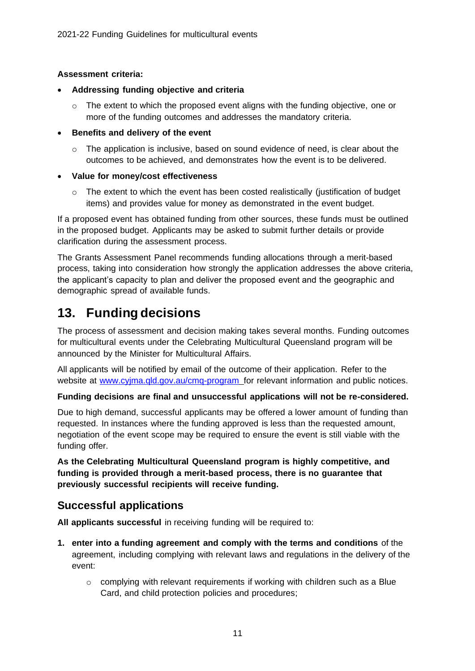#### **Assessment criteria:**

- **Addressing funding objective and criteria**
	- o The extent to which the proposed event aligns with the funding objective, one or more of the funding outcomes and addresses the mandatory criteria.
- **Benefits and delivery of the event**
	- $\circ$  The application is inclusive, based on sound evidence of need, is clear about the outcomes to be achieved, and demonstrates how the event is to be delivered.

#### • **Value for money/cost effectiveness**

 $\circ$  The extent to which the event has been costed realistically (justification of budget items) and provides value for money as demonstrated in the event budget.

If a proposed event has obtained funding from other sources, these funds must be outlined in the proposed budget. Applicants may be asked to submit further details or provide clarification during the assessment process.

The Grants Assessment Panel recommends funding allocations through a merit-based process, taking into consideration how strongly the application addresses the above criteria, the applicant's capacity to plan and deliver the proposed event and the geographic and demographic spread of available funds.

### <span id="page-10-0"></span>**13. Funding decisions**

The process of assessment and decision making takes several months. Funding outcomes for multicultural events under the Celebrating Multicultural Queensland program will be announced by the Minister for Multicultural Affairs.

All applicants will be notified by email of the outcome of their application. Refer to the website at www.cyjma.gld.gov.au/cmg-program for relevant information and public notices.

#### **Funding decisions are final and unsuccessful applications will not be re-considered.**

Due to high demand, successful applicants may be offered a lower amount of funding than requested. In instances where the funding approved is less than the requested amount, negotiation of the event scope may be required to ensure the event is still viable with the funding offer.

**As the Celebrating Multicultural Queensland program is highly competitive, and funding is provided through a merit-based process, there is no guarantee that previously successful recipients will receive funding.**

#### <span id="page-10-1"></span>**Successful applications**

**All applicants successful** in receiving funding will be required to:

- **1. enter into a funding agreement and comply with the terms and conditions** of the agreement, including complying with relevant laws and regulations in the delivery of the event:
	- $\circ$  complying with relevant requirements if working with children such as a Blue Card, and child protection policies and procedures;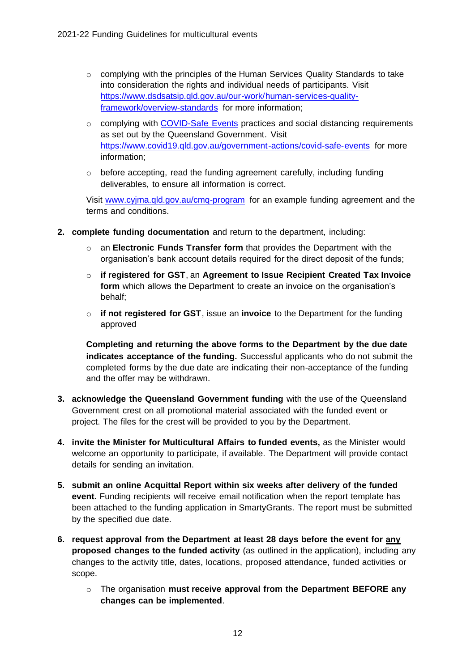- $\circ$  complying with the principles of the Human Services Quality Standards to take into consideration the rights and individual needs of participants. Visit [https://www.dsdsatsip.qld.gov.au/our-work/human-services-quality](https://www.dsdsatsip.qld.gov.au/our-work/human-services-quality-framework/overview-standards)[framework/overview-standards](https://www.dsdsatsip.qld.gov.au/our-work/human-services-quality-framework/overview-standards) for more information;
- $\circ$  complying with [COVID-Safe Events](https://www.covid19.qld.gov.au/government-actions/covid-safe-events) practices and social distancing requirements as set out by the Queensland Government. Visit <https://www.covid19.qld.gov.au/government-actions/covid-safe-events> for more information;
- o before accepting, read the funding agreement carefully, including funding deliverables, to ensure all information is correct.

Visit [www.cyjma.qld.gov.au/cmq-program](http://www.cyjma.qld.gov.au/cmq-program) for an example funding agreement and the terms and conditions.

- **2. complete funding documentation** and return to the department, including:
	- an **Electronic Funds Transfer form** that provides the Department with the organisation's bank account details required for the direct deposit of the funds;
	- o **if registered for GST**, an **Agreement to Issue Recipient Created Tax Invoice form** which allows the Department to create an invoice on the organisation's behalf;
	- o **if not registered for GST**, issue an **invoice** to the Department for the funding approved

**Completing and returning the above forms to the Department by the due date indicates acceptance of the funding.** Successful applicants who do not submit the completed forms by the due date are indicating their non-acceptance of the funding and the offer may be withdrawn.

- **3. acknowledge the Queensland Government funding** with the use of the Queensland Government crest on all promotional material associated with the funded event or project. The files for the crest will be provided to you by the Department.
- **4. invite the Minister for Multicultural Affairs to funded events,** as the Minister would welcome an opportunity to participate, if available. The Department will provide contact details for sending an invitation.
- **5. submit an online Acquittal Report within six weeks after delivery of the funded event.** Funding recipients will receive email notification when the report template has been attached to the funding application in SmartyGrants. The report must be submitted by the specified due date.
- **6. request approval from the Department at least 28 days before the event for any proposed changes to the funded activity** (as outlined in the application), including any changes to the activity title, dates, locations, proposed attendance, funded activities or scope.
	- o The organisation **must receive approval from the Department BEFORE any changes can be implemented**.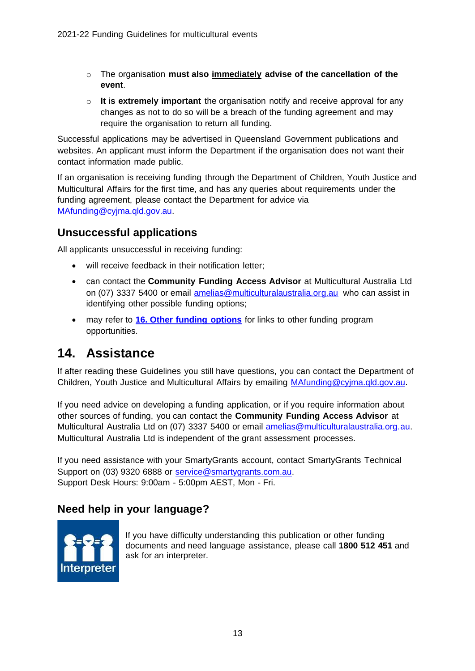- o The organisation **must also immediately advise of the cancellation of the event**.
- o **It is extremely important** the organisation notify and receive approval for any changes as not to do so will be a breach of the funding agreement and may require the organisation to return all funding.

Successful applications may be advertised in Queensland Government publications and websites. An applicant must inform the Department if the organisation does not want their contact information made public.

If an organisation is receiving funding through the Department of Children, Youth Justice and Multicultural Affairs for the first time, and has any queries about requirements under the funding agreement, please contact the Department for advice via [MAfunding@cyjma.qld.gov.au.](mailto:MAfunding@cyjma.qld.gov.au)

#### <span id="page-12-0"></span>**Unsuccessful applications**

All applicants unsuccessful in receiving funding:

- will receive feedback in their notification letter;
- can contact the **Community Funding Access Advisor** at Multicultural Australia Ltd on (07) 3337 5400 or email [amelias@multiculturalaustralia.org.au](mailto:amelias@multiculturalaustralia.org.au) who can assist in identifying other possible funding options;
- may refer to **[16. Other funding options](#page-14-0)** for links to other funding program opportunities.

### <span id="page-12-1"></span>**14. Assistance**

If after reading these Guidelines you still have questions, you can contact the Department of Children, Youth Justice and Multicultural Affairs by emailing [MAfunding@cyjma.qld.gov.au.](mailto:MAfunding@cyjma.qld.gov.au)

If you need advice on developing a funding application, or if you require information about other sources of funding, you can contact the **Community Funding Access Advisor** at Multicultural Australia Ltd on (07) 3337 5400 or email [amelias@multiculturalaustralia.org.au.](mailto:amelias@multiculturalaustralia.org.au)  Multicultural Australia Ltd is independent of the grant assessment processes.

If you need assistance with your SmartyGrants account, contact SmartyGrants Technical Support on (03) 9320 6888 or [service@smartygrants.com.au.](mailto:service@smartygrants.com.au)  Support Desk Hours: 9:00am - 5:00pm AEST, Mon - Fri.

#### <span id="page-12-2"></span>**Need help in your language?**



If you have difficulty understanding this publication or other funding documents and need language assistance, please call **1800 512 451** and ask for an interpreter.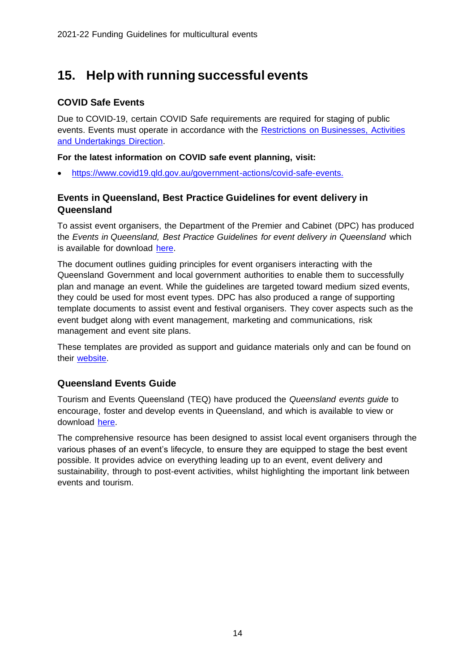### <span id="page-13-0"></span>**15. Help with running successful events**

#### <span id="page-13-1"></span>**COVID Safe Events**

Due to COVID-19, certain COVID Safe requirements are required for staging of public events. Events must operate in accordance with the [Restrictions on Businesses, Activities](https://www.health.qld.gov.au/system-governance/legislation/cho-public-health-directions-under-expanded-public-health-act-powers/business-activity-undertaking-direction)  [and Undertakings Direction.](https://www.health.qld.gov.au/system-governance/legislation/cho-public-health-directions-under-expanded-public-health-act-powers/business-activity-undertaking-direction)

**For the latest information on COVID safe event planning, visit:**

• [https://www.covid19.qld.gov.au/government-actions/covid-safe-events.](https://www.covid19.qld.gov.au/government-actions/covid-safe-events)

#### <span id="page-13-2"></span>**Events in Queensland, Best Practice Guidelines for event delivery in Queensland**

To assist event organisers, the Department of the Premier and Cabinet (DPC) has produced the *Events in Queensland, Best Practice Guidelines for event delivery in Queensland* which is available for download [here.](https://www.qld.gov.au/about/events-awards-honours/events/running-events/)

The document outlines guiding principles for event organisers interacting with the Queensland Government and local government authorities to enable them to successfully plan and manage an event. While the guidelines are targeted toward medium sized events, they could be used for most event types. DPC has also produced a range of supporting template documents to assist event and festival organisers. They cover aspects such as the event budget along with event management, marketing and communications, risk management and event site plans.

These templates are provided as support and guidance materials only and can be found on their [website.](https://www.qld.gov.au/about/events-awards-honours/events/running-events/)

#### <span id="page-13-3"></span>**Queensland Events Guide**

Tourism and Events Queensland (TEQ) have produced the *Queensland events guide* to encourage, foster and develop events in Queensland, and which is available to view or download [here.](https://teq.queensland.com/industry-resources/how-to-guides/queensland-events-guide)

The comprehensive resource has been designed to assist local event organisers through the various phases of an event's lifecycle, to ensure they are equipped to stage the best event possible. It provides advice on everything leading up to an event, event delivery and sustainability, through to post-event activities, whilst highlighting the important link between events and tourism.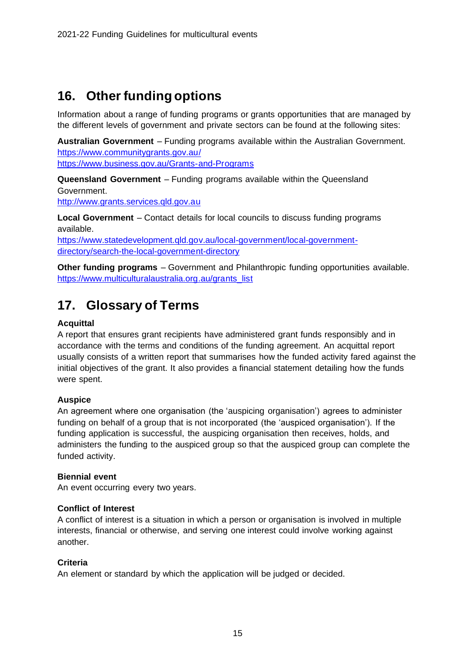### <span id="page-14-0"></span>**16. Other funding options**

Information about a range of funding programs or grants opportunities that are managed by the different levels of government and private sectors can be found at the following sites:

**Australian Government** – Funding programs available within the Australian Government. <https://www.communitygrants.gov.au/>

<https://www.business.gov.au/Grants-and-Programs>

**Queensland Government** – Funding programs available within the Queensland Government.

[http://www.grants.services.qld.gov.au](http://www.grants.services.qld.gov.au/)

**Local Government** – Contact details for local councils to discuss funding programs available.

[https://www.statedevelopment.qld.gov.au/local-government/local-government](https://www.statedevelopment.qld.gov.au/local-government/local-government-directory/search-the-local-government-directory)[directory/search-the-local-government-directory](https://www.statedevelopment.qld.gov.au/local-government/local-government-directory/search-the-local-government-directory)

**Other funding programs** – Government and Philanthropic funding opportunities available. [https://www.multiculturalaustralia.org.au/grants\\_list](https://www.multiculturalaustralia.org.au/grants_list)

### <span id="page-14-1"></span>**17. Glossary of Terms**

#### **Acquittal**

A report that ensures grant recipients have administered grant funds responsibly and in accordance with the terms and conditions of the funding agreement. An acquittal report usually consists of a written report that summarises how the funded activity fared against the initial objectives of the grant. It also provides a financial statement detailing how the funds were spent.

#### **Auspice**

An agreement where one organisation (the 'auspicing organisation') agrees to administer funding on behalf of a group that is not incorporated (the 'auspiced organisation'). If the funding application is successful, the auspicing organisation then receives, holds, and administers the funding to the auspiced group so that the auspiced group can complete the funded activity.

#### **Biennial event**

An event occurring every two years.

#### **Conflict of Interest**

A conflict of interest is a situation in which a person or organisation is involved in multiple interests, financial or otherwise, and serving one interest could involve working against another.

#### **Criteria**

An element or standard by which the application will be judged or decided.